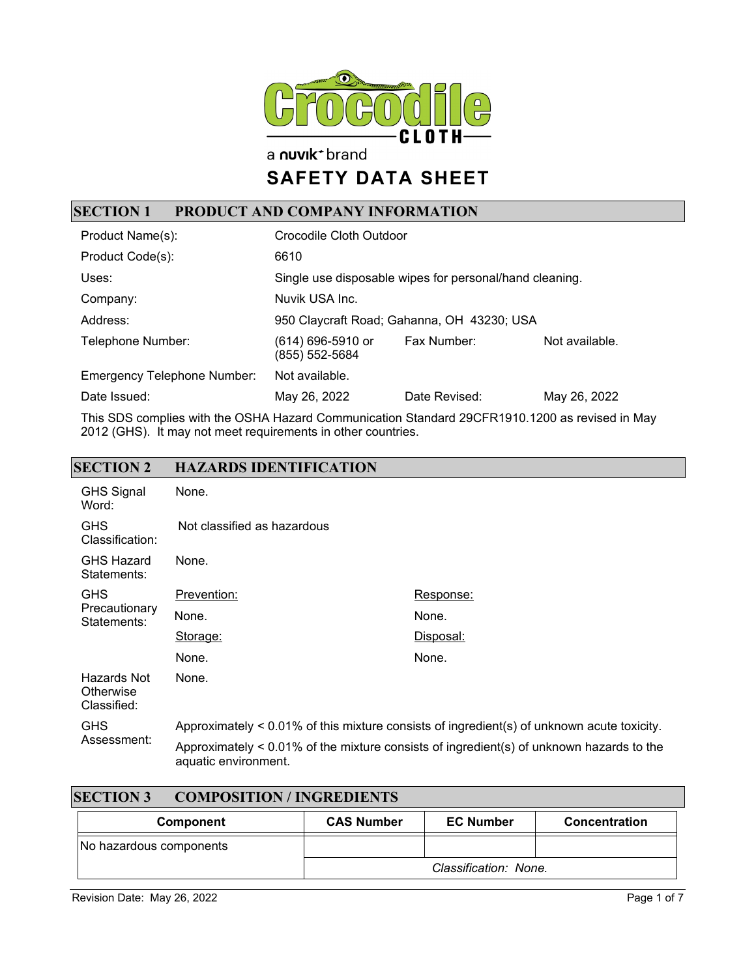

a nuvik<sup>+</sup> brand

# **SAFETY DATA SHEET**

## **SECTION 1 PRODUCT AND COMPANY INFORMATION**

| Product Name(s):                   | Crocodile Cloth Outdoor                                 |                                            |                |
|------------------------------------|---------------------------------------------------------|--------------------------------------------|----------------|
| Product Code(s):                   | 6610                                                    |                                            |                |
| Uses:                              | Single use disposable wipes for personal/hand cleaning. |                                            |                |
| Company:                           | Nuvik USA Inc.                                          |                                            |                |
| Address:                           |                                                         | 950 Claycraft Road; Gahanna, OH 43230; USA |                |
| Telephone Number:                  | (614) 696-5910 or<br>(855) 552-5684                     | Fax Number:                                | Not available. |
| <b>Emergency Telephone Number:</b> | Not available.                                          |                                            |                |
| Date Issued:                       | May 26, 2022                                            | Date Revised:                              | May 26, 2022   |

This SDS complies with the OSHA Hazard Communication Standard 29CFR1910.1200 as revised in May 2012 (GHS). It may not meet requirements in other countries.

#### **SECTION 2 HAZARDS IDENTIFICATION**

| <b>GHS Signal</b><br>Word:              | None.                                                                                      |                                                                                             |
|-----------------------------------------|--------------------------------------------------------------------------------------------|---------------------------------------------------------------------------------------------|
| <b>GHS</b><br>Classification:           | Not classified as hazardous                                                                |                                                                                             |
| <b>GHS Hazard</b><br>Statements:        | None.                                                                                      |                                                                                             |
| <b>GHS</b>                              | Prevention:                                                                                | Response:                                                                                   |
| Precautionary<br>Statements:            | None.                                                                                      | None.                                                                                       |
|                                         | Storage:                                                                                   | Disposal:                                                                                   |
|                                         | None.                                                                                      | None.                                                                                       |
| Hazards Not<br>Otherwise<br>Classified: | None.                                                                                      |                                                                                             |
| <b>GHS</b>                              | Approximately < 0.01% of this mixture consists of ingredient(s) of unknown acute toxicity. |                                                                                             |
| Assessment:                             | aquatic environment.                                                                       | Approximately $< 0.01\%$ of the mixture consists of ingredient(s) of unknown hazards to the |

| <b>SECTION 3</b><br><b>COMPOSITION / INGREDIENTS</b> |                   |                       |               |
|------------------------------------------------------|-------------------|-----------------------|---------------|
| Component                                            | <b>CAS Number</b> | <b>EC Number</b>      | Concentration |
| No hazardous components                              |                   |                       |               |
|                                                      |                   | Classification: None. |               |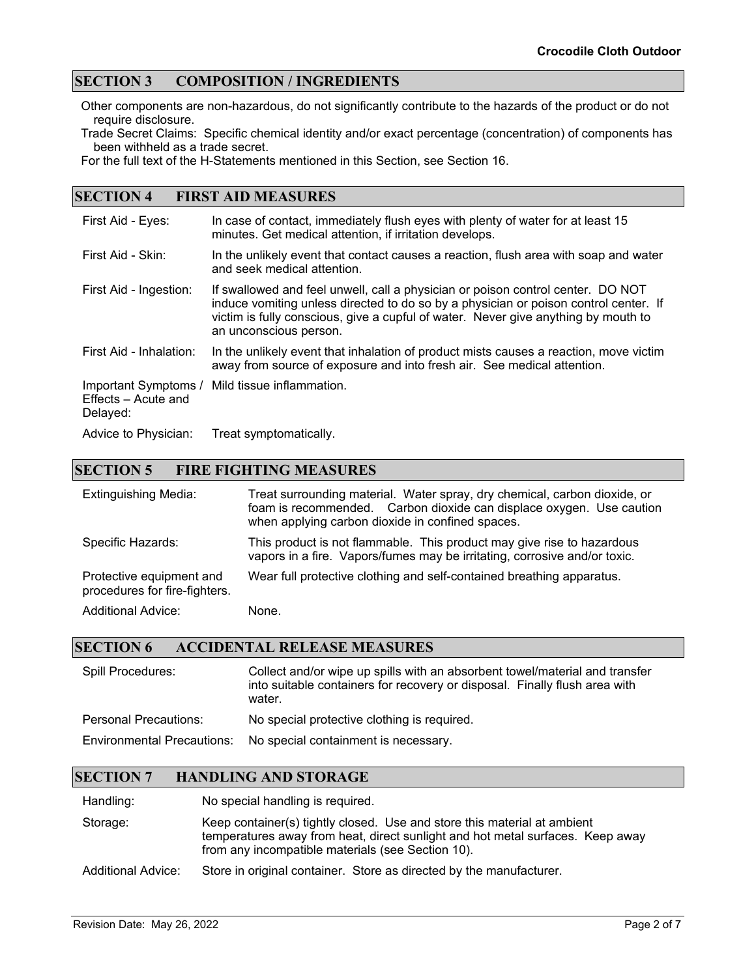### **SECTION 3 COMPOSITION / INGREDIENTS**

Other components are non-hazardous, do not significantly contribute to the hazards of the product or do not require disclosure.

Trade Secret Claims: Specific chemical identity and/or exact percentage (concentration) of components has been withheld as a trade secret.

For the full text of the H-Statements mentioned in this Section, see Section 16.

#### **SECTION 4 FIRST AID MEASURES**

| First Aid - Eyes:                                       | In case of contact, immediately flush eyes with plenty of water for at least 15<br>minutes. Get medical attention, if irritation develops.                                                                                                                                              |
|---------------------------------------------------------|-----------------------------------------------------------------------------------------------------------------------------------------------------------------------------------------------------------------------------------------------------------------------------------------|
| First Aid - Skin:                                       | In the unlikely event that contact causes a reaction, flush area with soap and water<br>and seek medical attention.                                                                                                                                                                     |
| First Aid - Ingestion:                                  | If swallowed and feel unwell, call a physician or poison control center. DO NOT<br>induce vomiting unless directed to do so by a physician or poison control center. If<br>victim is fully conscious, give a cupful of water. Never give anything by mouth to<br>an unconscious person. |
| First Aid - Inhalation:                                 | In the unlikely event that inhalation of product mists causes a reaction, move victim<br>away from source of exposure and into fresh air. See medical attention.                                                                                                                        |
| Important Symptoms /<br>Effects - Acute and<br>Delayed: | Mild tissue inflammation.                                                                                                                                                                                                                                                               |
| Advice to Physician:                                    | Treat symptomatically.                                                                                                                                                                                                                                                                  |

#### **SECTION 5 FIRE FIGHTING MEASURES**

| <b>Extinguishing Media:</b>                               | Treat surrounding material. Water spray, dry chemical, carbon dioxide, or<br>foam is recommended. Carbon dioxide can displace oxygen. Use caution<br>when applying carbon dioxide in confined spaces. |
|-----------------------------------------------------------|-------------------------------------------------------------------------------------------------------------------------------------------------------------------------------------------------------|
| Specific Hazards:                                         | This product is not flammable. This product may give rise to hazardous<br>vapors in a fire. Vapors/fumes may be irritating, corrosive and/or toxic.                                                   |
| Protective equipment and<br>procedures for fire-fighters. | Wear full protective clothing and self-contained breathing apparatus.                                                                                                                                 |
| <b>Additional Advice:</b>                                 | None.                                                                                                                                                                                                 |

#### **SECTION 6 ACCIDENTAL RELEASE MEASURES**

| Spill Procedures:                 | Collect and/or wipe up spills with an absorbent towel/material and transfer<br>into suitable containers for recovery or disposal. Finally flush area with<br>water. |
|-----------------------------------|---------------------------------------------------------------------------------------------------------------------------------------------------------------------|
| <b>Personal Precautions:</b>      | No special protective clothing is required.                                                                                                                         |
| <b>Environmental Precautions:</b> | No special containment is necessary.                                                                                                                                |

#### **SECTION 7 HANDLING AND STORAGE**

Handling: No special handling is required.

Storage: Keep container(s) tightly closed. Use and store this material at ambient temperatures away from heat, direct sunlight and hot metal surfaces. Keep away from any incompatible materials (see Section 10).

Additional Advice: Store in original container. Store as directed by the manufacturer.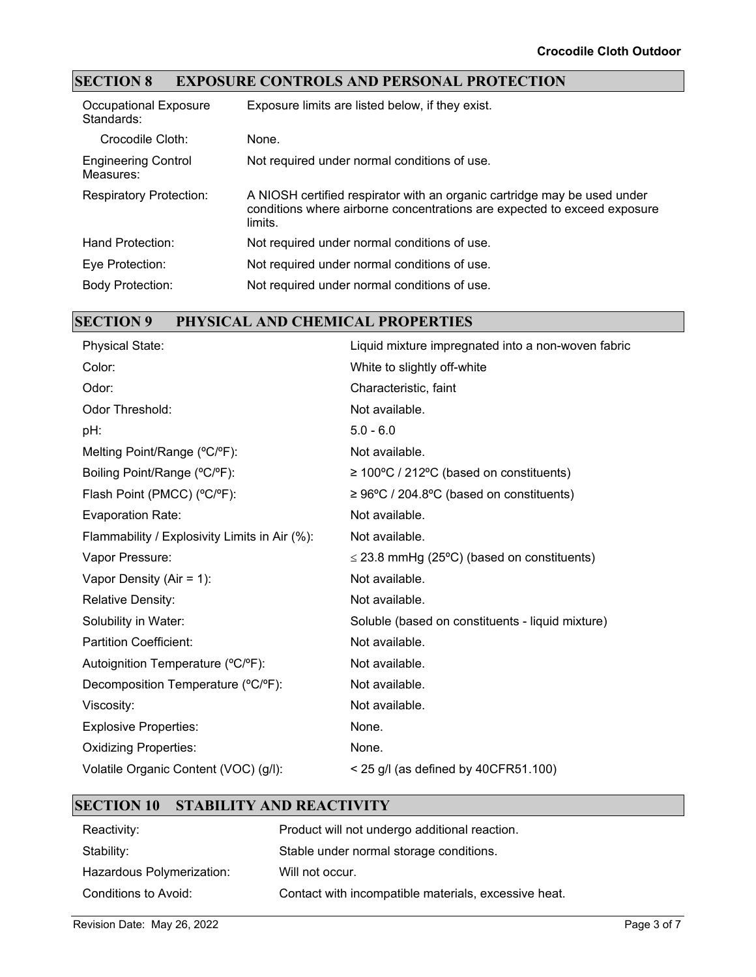## **SECTION 8 EXPOSURE CONTROLS AND PERSONAL PROTECTION**

| Occupational Exposure<br>Standards:     | Exposure limits are listed below, if they exist.                                                                                                                |
|-----------------------------------------|-----------------------------------------------------------------------------------------------------------------------------------------------------------------|
| Crocodile Cloth:                        | None.                                                                                                                                                           |
| <b>Engineering Control</b><br>Measures: | Not required under normal conditions of use.                                                                                                                    |
| <b>Respiratory Protection:</b>          | A NIOSH certified respirator with an organic cartridge may be used under<br>conditions where airborne concentrations are expected to exceed exposure<br>limits. |
| Hand Protection:                        | Not required under normal conditions of use.                                                                                                                    |
| Eye Protection:                         | Not required under normal conditions of use.                                                                                                                    |
| <b>Body Protection:</b>                 | Not required under normal conditions of use.                                                                                                                    |

## **SECTION 9 PHYSICAL AND CHEMICAL PROPERTIES**

| <b>Physical State:</b>                        | Liquid mixture impregnated into a non-woven fabric    |
|-----------------------------------------------|-------------------------------------------------------|
| Color:                                        | White to slightly off-white                           |
| Odor:                                         | Characteristic, faint                                 |
| Odor Threshold:                               | Not available.                                        |
| pH:                                           | $5.0 - 6.0$                                           |
| Melting Point/Range (°C/°F):                  | Not available.                                        |
| Boiling Point/Range (°C/°F):                  | $\geq 100^{\circ}$ C / 212°C (based on constituents)  |
| Flash Point (PMCC) (°C/°F):                   | $\geq 96^{\circ}$ C / 204.8°C (based on constituents) |
| <b>Evaporation Rate:</b>                      | Not available.                                        |
| Flammability / Explosivity Limits in Air (%): | Not available.                                        |
| Vapor Pressure:                               | $\leq$ 23.8 mmHg (25°C) (based on constituents)       |
| Vapor Density (Air = $1$ ):                   | Not available.                                        |
| <b>Relative Density:</b>                      | Not available.                                        |
| Solubility in Water:                          | Soluble (based on constituents - liquid mixture)      |
| <b>Partition Coefficient:</b>                 | Not available.                                        |
| Autoignition Temperature (°C/°F):             | Not available.                                        |
| Decomposition Temperature (°C/°F):            | Not available.                                        |
| Viscosity:                                    | Not available.                                        |
| <b>Explosive Properties:</b>                  | None.                                                 |
| <b>Oxidizing Properties:</b>                  | None.                                                 |
| Volatile Organic Content (VOC) (g/l):         | $<$ 25 g/l (as defined by 40CFR51.100)                |
|                                               |                                                       |

#### **SECTION 10 STABILITY AND REACTIVITY**

| Reactivity:               | Product will not undergo additional reaction.        |
|---------------------------|------------------------------------------------------|
| Stability:                | Stable under normal storage conditions.              |
| Hazardous Polymerization: | Will not occur.                                      |
| Conditions to Avoid:      | Contact with incompatible materials, excessive heat. |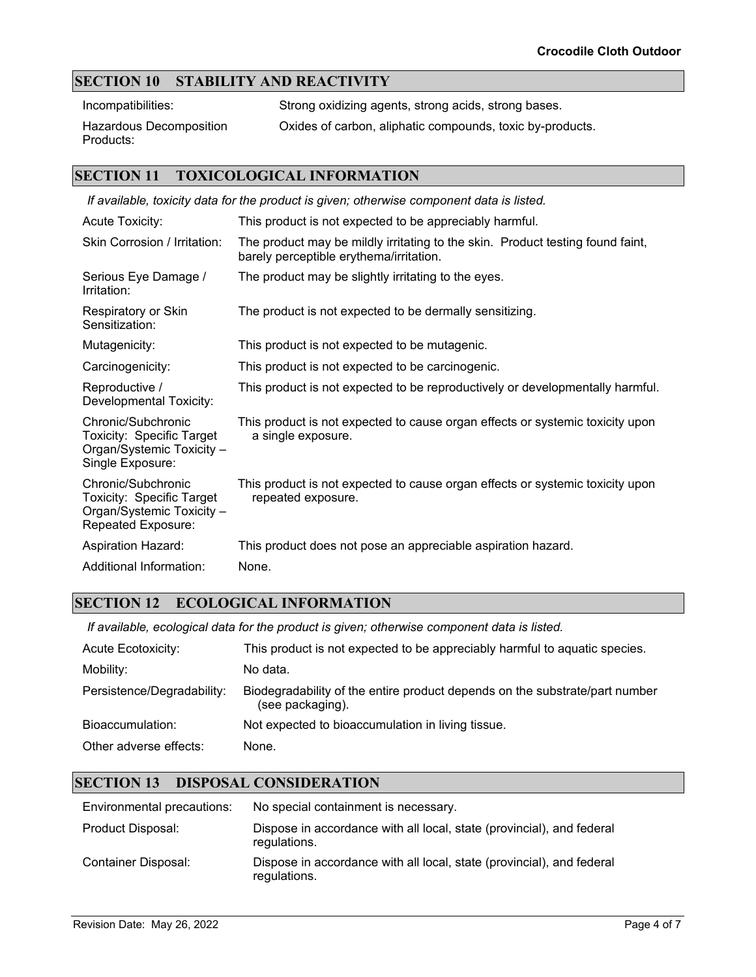### **SECTION 10 STABILITY AND REACTIVITY**

Incompatibilities: Strong oxidizing agents, strong acids, strong bases.

Hazardous Decomposition Products:

Oxides of carbon, aliphatic compounds, toxic by-products.

#### **SECTION 11 TOXICOLOGICAL INFORMATION**

| If available, toxicity data for the product is given; otherwise component data is listed.               |                                                                                                                           |  |
|---------------------------------------------------------------------------------------------------------|---------------------------------------------------------------------------------------------------------------------------|--|
| <b>Acute Toxicity:</b>                                                                                  | This product is not expected to be appreciably harmful.                                                                   |  |
| Skin Corrosion / Irritation:                                                                            | The product may be mildly irritating to the skin. Product testing found faint,<br>barely perceptible erythema/irritation. |  |
| Serious Eye Damage /<br>Irritation:                                                                     | The product may be slightly irritating to the eyes.                                                                       |  |
| Respiratory or Skin<br>Sensitization:                                                                   | The product is not expected to be dermally sensitizing.                                                                   |  |
| Mutagenicity:                                                                                           | This product is not expected to be mutagenic.                                                                             |  |
| Carcinogenicity:                                                                                        | This product is not expected to be carcinogenic.                                                                          |  |
| Reproductive /<br>Developmental Toxicity:                                                               | This product is not expected to be reproductively or developmentally harmful.                                             |  |
| Chronic/Subchronic<br><b>Toxicity: Specific Target</b><br>Organ/Systemic Toxicity -<br>Single Exposure: | This product is not expected to cause organ effects or systemic toxicity upon<br>a single exposure.                       |  |
| Chronic/Subchronic<br>Toxicity: Specific Target<br>Organ/Systemic Toxicity -<br>Repeated Exposure:      | This product is not expected to cause organ effects or systemic toxicity upon<br>repeated exposure.                       |  |
| <b>Aspiration Hazard:</b>                                                                               | This product does not pose an appreciable aspiration hazard.                                                              |  |
| Additional Information:                                                                                 | None.                                                                                                                     |  |

#### **SECTION 12 ECOLOGICAL INFORMATION**

*If available, ecological data for the product is given; otherwise component data is listed.*

| <b>Acute Ecotoxicity:</b>  | This product is not expected to be appreciably harmful to aquatic species.                      |
|----------------------------|-------------------------------------------------------------------------------------------------|
| Mobility:                  | No data.                                                                                        |
| Persistence/Degradability: | Biodegradability of the entire product depends on the substrate/part number<br>(see packaging). |
| Bioaccumulation:           | Not expected to bioaccumulation in living tissue.                                               |
| Other adverse effects:     | None.                                                                                           |

### **SECTION 13 DISPOSAL CONSIDERATION**

| Environmental precautions: | No special containment is necessary.                                                  |
|----------------------------|---------------------------------------------------------------------------------------|
| Product Disposal:          | Dispose in accordance with all local, state (provincial), and federal<br>regulations. |
| Container Disposal:        | Dispose in accordance with all local, state (provincial), and federal<br>regulations. |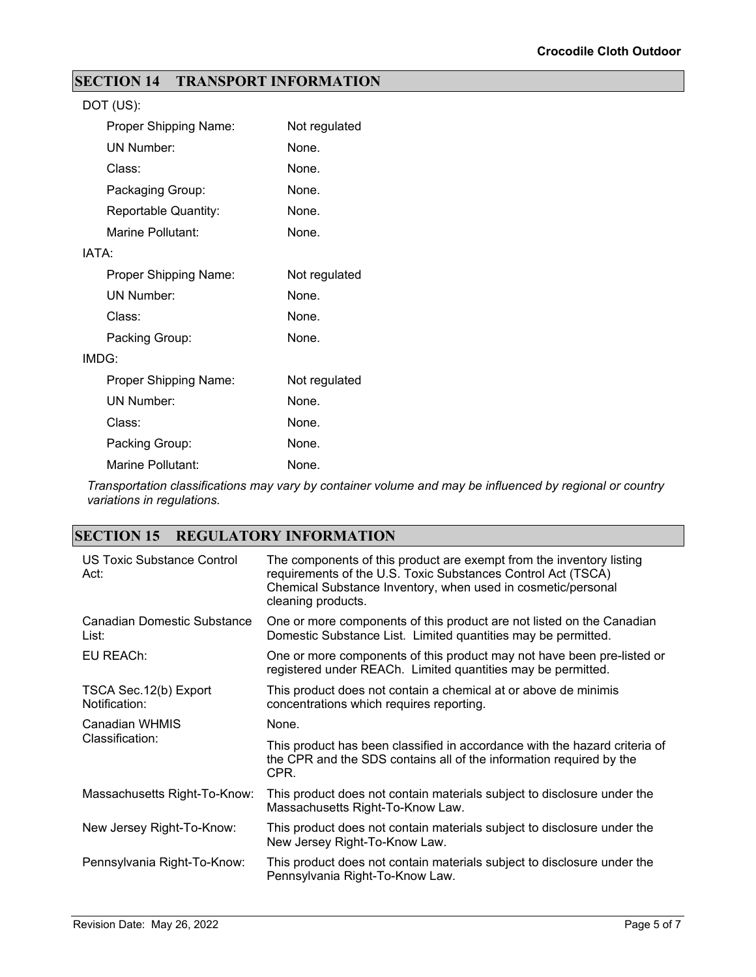## **SECTION 14 TRANSPORT INFORMATION**

|       | DOT (US):             |               |
|-------|-----------------------|---------------|
|       | Proper Shipping Name: | Not regulated |
|       | <b>UN Number:</b>     | None.         |
|       | Class:                | None.         |
|       | Packaging Group:      | None.         |
|       | Reportable Quantity:  | None.         |
|       | Marine Pollutant:     | None.         |
| IATA: |                       |               |
|       | Proper Shipping Name: | Not regulated |
|       | <b>UN Number:</b>     | None.         |
|       | Class:                | None.         |
|       | Packing Group:        | None.         |
|       | IMDG:                 |               |
|       | Proper Shipping Name: | Not regulated |
|       | <b>UN Number:</b>     | None.         |
|       | Class:                | None.         |
|       | Packing Group:        | None.         |
|       | Marine Pollutant:     | None.         |

*Transportation classifications may vary by container volume and may be influenced by regional or country variations in regulations.*

### **SECTION 15 REGULATORY INFORMATION**

| US Toxic Substance Control<br>Act:      | The components of this product are exempt from the inventory listing<br>requirements of the U.S. Toxic Substances Control Act (TSCA)<br>Chemical Substance Inventory, when used in cosmetic/personal<br>cleaning products. |  |  |
|-----------------------------------------|----------------------------------------------------------------------------------------------------------------------------------------------------------------------------------------------------------------------------|--|--|
| Canadian Domestic Substance<br>List:    | One or more components of this product are not listed on the Canadian<br>Domestic Substance List. Limited quantities may be permitted.                                                                                     |  |  |
| EU REACh:                               | One or more components of this product may not have been pre-listed or<br>registered under REACh. Limited quantities may be permitted.                                                                                     |  |  |
| TSCA Sec. 12(b) Export<br>Notification: | This product does not contain a chemical at or above de minimis<br>concentrations which requires reporting.                                                                                                                |  |  |
| Canadian WHMIS                          | None.                                                                                                                                                                                                                      |  |  |
| Classification:                         | This product has been classified in accordance with the hazard criteria of<br>the CPR and the SDS contains all of the information required by the<br>CPR.                                                                  |  |  |
| Massachusetts Right-To-Know:            | This product does not contain materials subject to disclosure under the<br>Massachusetts Right-To-Know Law.                                                                                                                |  |  |
| New Jersey Right-To-Know:               | This product does not contain materials subject to disclosure under the<br>New Jersey Right-To-Know Law.                                                                                                                   |  |  |
| Pennsylvania Right-To-Know:             | This product does not contain materials subject to disclosure under the<br>Pennsylvania Right-To-Know Law.                                                                                                                 |  |  |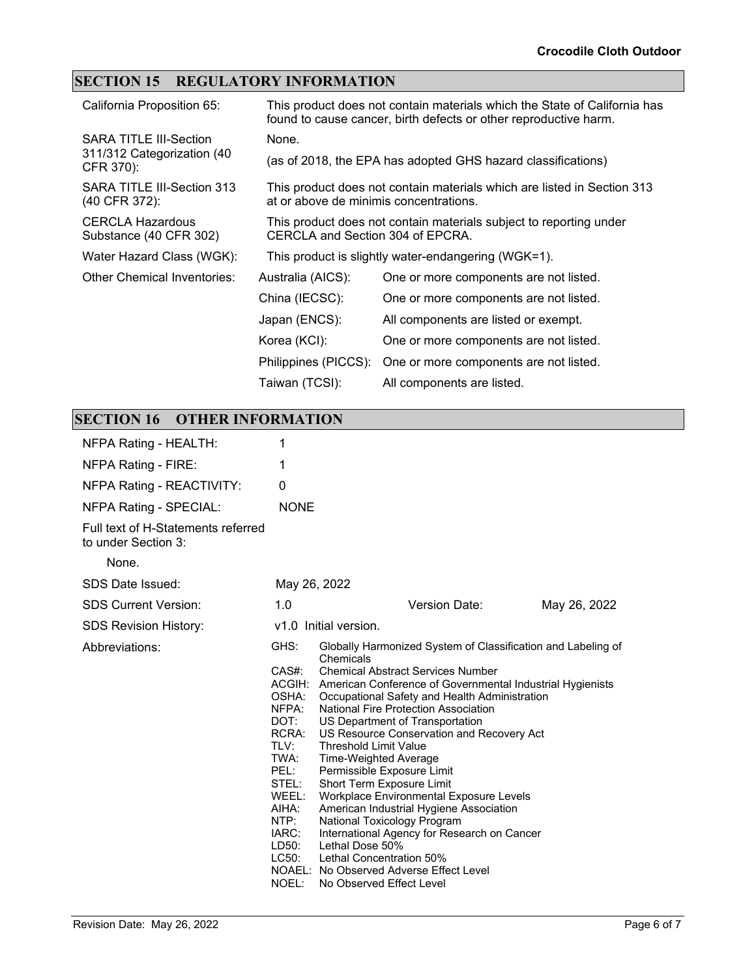## **SECTION 15 REGULATORY INFORMATION**

| California Proposition 65:                        | This product does not contain materials which the State of California has<br>found to cause cancer, birth defects or other reproductive harm. |                                                                                                        |  |
|---------------------------------------------------|-----------------------------------------------------------------------------------------------------------------------------------------------|--------------------------------------------------------------------------------------------------------|--|
| <b>SARA TITLE III-Section</b>                     | None.                                                                                                                                         |                                                                                                        |  |
| 311/312 Categorization (40<br>CFR 370):           |                                                                                                                                               | (as of 2018, the EPA has adopted GHS hazard classifications)                                           |  |
| SARA TITLE III-Section 313<br>(40 CFR 372):       | This product does not contain materials which are listed in Section 313<br>at or above de minimis concentrations.                             |                                                                                                        |  |
| <b>CERCLA Hazardous</b><br>Substance (40 CFR 302) |                                                                                                                                               | This product does not contain materials subject to reporting under<br>CERCLA and Section 304 of EPCRA. |  |
| Water Hazard Class (WGK):                         |                                                                                                                                               | This product is slightly water-endangering (WGK=1).                                                    |  |
| <b>Other Chemical Inventories:</b>                | Australia (AICS):                                                                                                                             | One or more components are not listed.                                                                 |  |
|                                                   | China (IECSC):                                                                                                                                | One or more components are not listed.                                                                 |  |
|                                                   | Japan (ENCS):                                                                                                                                 | All components are listed or exempt.                                                                   |  |
|                                                   | Korea (KCI):                                                                                                                                  | One or more components are not listed.                                                                 |  |
|                                                   | Philippines (PICCS):                                                                                                                          | One or more components are not listed.                                                                 |  |
|                                                   | Taiwan (TCSI):                                                                                                                                | All components are listed.                                                                             |  |

## **SECTION 16 OTHER INFORMATION**

| NFPA Rating - HEALTH:                                     | 1                                                                                                                                               |                                                                                                                                                                                                                                                                                                                                                                                                                                                                                                                                                                                                                                                                                                                                                                                  |              |  |
|-----------------------------------------------------------|-------------------------------------------------------------------------------------------------------------------------------------------------|----------------------------------------------------------------------------------------------------------------------------------------------------------------------------------------------------------------------------------------------------------------------------------------------------------------------------------------------------------------------------------------------------------------------------------------------------------------------------------------------------------------------------------------------------------------------------------------------------------------------------------------------------------------------------------------------------------------------------------------------------------------------------------|--------------|--|
| NFPA Rating - FIRE:                                       | 1                                                                                                                                               |                                                                                                                                                                                                                                                                                                                                                                                                                                                                                                                                                                                                                                                                                                                                                                                  |              |  |
| NFPA Rating - REACTIVITY:                                 | 0                                                                                                                                               |                                                                                                                                                                                                                                                                                                                                                                                                                                                                                                                                                                                                                                                                                                                                                                                  |              |  |
| <b>NFPA Rating - SPECIAL:</b>                             | <b>NONE</b>                                                                                                                                     |                                                                                                                                                                                                                                                                                                                                                                                                                                                                                                                                                                                                                                                                                                                                                                                  |              |  |
| Full text of H-Statements referred<br>to under Section 3: |                                                                                                                                                 |                                                                                                                                                                                                                                                                                                                                                                                                                                                                                                                                                                                                                                                                                                                                                                                  |              |  |
| None.                                                     |                                                                                                                                                 |                                                                                                                                                                                                                                                                                                                                                                                                                                                                                                                                                                                                                                                                                                                                                                                  |              |  |
| SDS Date Issued:                                          | May 26, 2022                                                                                                                                    |                                                                                                                                                                                                                                                                                                                                                                                                                                                                                                                                                                                                                                                                                                                                                                                  |              |  |
| <b>SDS Current Version:</b>                               | 1.0                                                                                                                                             | Version Date:                                                                                                                                                                                                                                                                                                                                                                                                                                                                                                                                                                                                                                                                                                                                                                    | May 26, 2022 |  |
| <b>SDS Revision History:</b>                              | v1.0 Initial version.                                                                                                                           |                                                                                                                                                                                                                                                                                                                                                                                                                                                                                                                                                                                                                                                                                                                                                                                  |              |  |
| Abbreviations:                                            | GHS:<br>CAS#:<br>OSHA:<br>NFPA:<br>DOT:<br>RCRA:<br>TLV:<br>TWA:<br>PEL:<br>STEL:<br>WEEL:<br>AIHA:<br>NTP:<br>IARC:<br>LD50:<br>LC50:<br>NOEL: | Globally Harmonized System of Classification and Labeling of<br>Chemicals<br><b>Chemical Abstract Services Number</b><br>ACGIH: American Conference of Governmental Industrial Hygienists<br>Occupational Safety and Health Administration<br>National Fire Protection Association<br>US Department of Transportation<br>US Resource Conservation and Recovery Act<br><b>Threshold Limit Value</b><br>Time-Weighted Average<br>Permissible Exposure Limit<br>Short Term Exposure Limit<br>Workplace Environmental Exposure Levels<br>American Industrial Hygiene Association<br>National Toxicology Program<br>International Agency for Research on Cancer<br>Lethal Dose 50%<br>Lethal Concentration 50%<br>NOAEL: No Observed Adverse Effect Level<br>No Observed Effect Level |              |  |